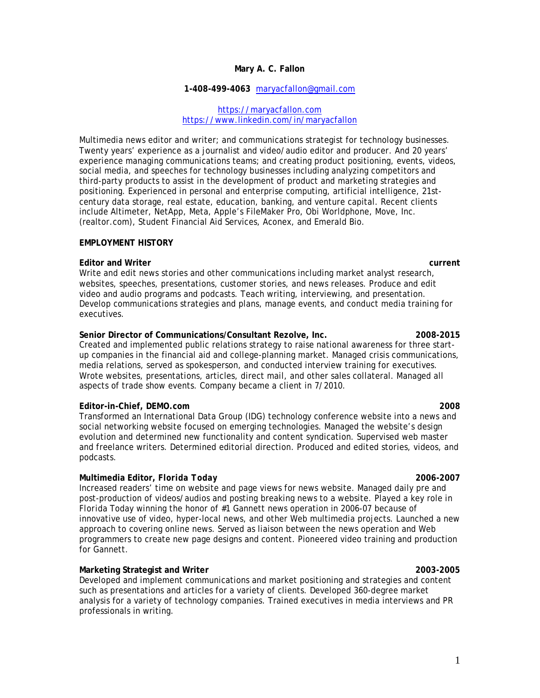# **Mary A. C. Fallon**

### **1-408-499-4063** [maryacfallon@gmail.com](mailto:maryacfallon@gmail.com)

[https://maryacfallon.com](https://maryacfallon.com/public-relations/) <https://www.linkedin.com/in/maryacfallon>

Multimedia news editor and writer; and communications strategist for technology businesses. Twenty years' experience as a journalist and video/audio editor and producer. And 20 years' experience managing communications teams; and creating product positioning, events, videos, social media, and speeches for technology businesses including analyzing competitors and third-party products to assist in the development of product and marketing strategies and positioning. Experienced in personal and enterprise computing, artificial intelligence, 21stcentury data storage, real estate, education, banking, and venture capital. Recent clients include Altimeter, NetApp, Meta, Apple's FileMaker Pro, Obi Worldphone, Move, Inc. (realtor.com), Student Financial Aid Services, Aconex, and Emerald Bio.

## **EMPLOYMENT HISTORY**

### **Editor and Writer current**

Write and edit news stories and other communications including market analyst research, websites, speeches, presentations, customer stories, and news releases. Produce and edit video and audio programs and podcasts. Teach writing, interviewing, and presentation. Develop communications strategies and plans, manage events, and conduct media training for executives.

### **Senior Director of Communications/Consultant Rezolve, Inc. 2008-2015**

Created and implemented public relations strategy to raise national awareness for three startup companies in the financial aid and college-planning market. Managed crisis communications, media relations, served as spokesperson, and conducted interview training for executives. Wrote websites, presentations, articles, direct mail, and other sales collateral. Managed all aspects of trade show events. Company became a client in 7/2010.

### **Editor-in-Chief, DEMO.com 2008**

Transformed an International Data Group (IDG) technology conference website into a news and social networking website focused on emerging technologies. Managed the website's design evolution and determined new functionality and content syndication. Supervised web master and freelance writers. Determined editorial direction. Produced and edited stories, videos, and podcasts.

### **Multimedia Editor,** *Florida Today* **2006-2007**

Increased readers' time on website and page views for news website. Managed daily pre and post-production of videos/audios and posting breaking news to a website. Played a key role in *Florida Today* winning the honor of #1 Gannett news operation in 2006-07 because of innovative use of video, hyper-local news, and other Web multimedia projects. Launched a new approach to covering online news. Served as liaison between the news operation and Web programmers to create new page designs and content. Pioneered video training and production for Gannett.

## **Marketing Strategist and Writer 2003-2005**

Developed and implement communications and market positioning and strategies and content such as presentations and articles for a variety of clients. Developed 360-degree market analysis for a variety of technology companies. Trained executives in media interviews and PR professionals in writing.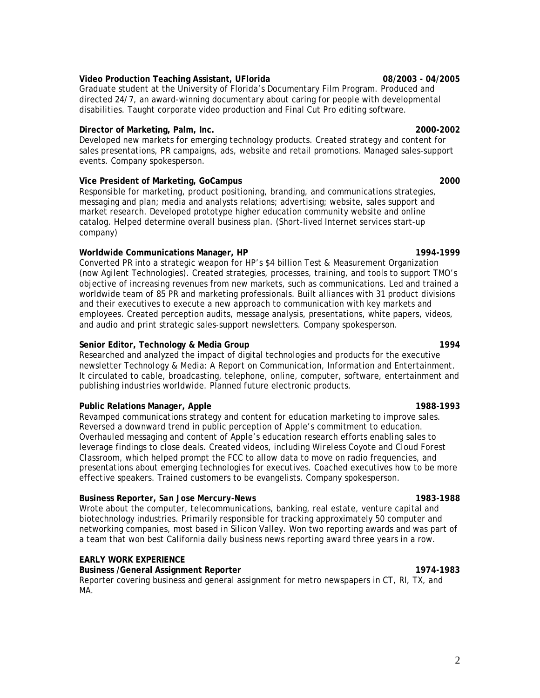# **Video Production Teaching Assistant, UFlorida 08/2003 - 04/2005**

Graduate student at the University of Florida's Documentary Film Program. Produced and directed *24/7*, an award-winning documentary about caring for people with developmental disabilities. Taught corporate video production and Final Cut Pro editing software.

## **Director of Marketing, Palm, Inc. 2000-2002**

Developed new markets for emerging technology products. Created strategy and content for sales presentations, PR campaigns, ads, website and retail promotions. Managed sales-support events. Company spokesperson.

## **Vice President of Marketing, GoCampus 2000**

Responsible for marketing, product positioning, branding, and communications strategies, messaging and plan; media and analysts relations; advertising; website, sales support and market research. Developed prototype higher education community website and online catalog. Helped determine overall business plan. (Short-lived Internet services start-up company)

# **Worldwide Communications Manager, HP 1994-1999**

Converted PR into a strategic weapon for HP's \$4 billion Test & Measurement Organization (now Agilent Technologies). Created strategies, processes, training, and tools to support TMO's objective of increasing revenues from new markets, such as communications. Led and trained a worldwide team of 85 PR and marketing professionals. Built alliances with 31 product divisions and their executives to execute a new approach to communication with key markets and employees. Created perception audits, message analysis, presentations, white papers, videos, and audio and print strategic sales-support newsletters. Company spokesperson.

# **Senior Editor, Technology & Media Group 1994**

Researched and analyzed the impact of digital technologies and products for the executive newsletter *Technology & Media: A Report on Communication, Information and Entertainment*. It circulated to cable, broadcasting, telephone, online, computer, software, entertainment and publishing industries worldwide. Planned future electronic products.

## **Public Relations Manager, Apple 1988-1993**

Revamped communications strategy and content for education marketing to improve sales. Reversed a downward trend in public perception of Apple's commitment to education. Overhauled messaging and content of Apple's education research efforts enabling sales to leverage findings to close deals. Created videos, including *Wireless Coyote* and *Cloud Forest Classroom*, which helped prompt the FCC to allow data to move on radio frequencies, and presentations about emerging technologies for executives. Coached executives how to be more effective speakers. Trained customers to be evangelists. Company spokesperson.

## **Business Reporter,** *San Jose Mercury-News* **1983-1988**

Wrote about the computer, telecommunications, banking, real estate, venture capital and biotechnology industries. Primarily responsible for tracking approximately 50 computer and networking companies, most based in Silicon Valley. Won two reporting awards and was part of a team that won best California daily business news reporting award three years in a row.

## **EARLY WORK EXPERIENCE**

# **Business /General Assignment Reporter 1974-1983**  Reporter covering business and general assignment for metro newspapers in CT, RI, TX, and MA.